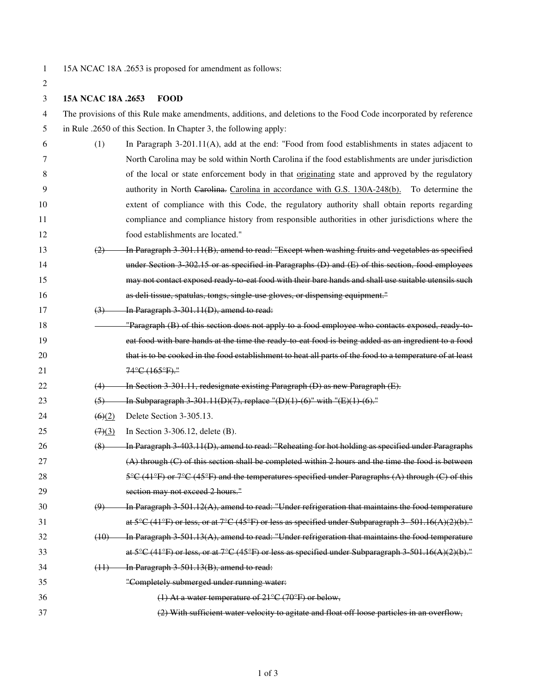2

1 15A NCAC 18A .2653 is proposed for amendment as follows:

3 **15A NCAC 18A .2653 FOOD** 

| 4  | The provisions of this Rule make amendments, additions, and deletions to the Food Code incorporated by reference |                                                                                                                                            |  |
|----|------------------------------------------------------------------------------------------------------------------|--------------------------------------------------------------------------------------------------------------------------------------------|--|
| 5  | in Rule .2650 of this Section. In Chapter 3, the following apply:                                                |                                                                                                                                            |  |
| 6  | (1)                                                                                                              | In Paragraph $3-201.11(A)$ , add at the end: "Food from food establishments in states adjacent to                                          |  |
| 7  |                                                                                                                  | North Carolina may be sold within North Carolina if the food establishments are under jurisdiction                                         |  |
| 8  |                                                                                                                  | of the local or state enforcement body in that <u>originating</u> state and approved by the regulatory                                     |  |
| 9  |                                                                                                                  | authority in North Carolina. Carolina in accordance with G.S. 130A-248(b). To determine the                                                |  |
| 10 |                                                                                                                  | extent of compliance with this Code, the regulatory authority shall obtain reports regarding                                               |  |
| 11 |                                                                                                                  | compliance and compliance history from responsible authorities in other jurisdictions where the                                            |  |
| 12 |                                                                                                                  | food establishments are located."                                                                                                          |  |
| 13 | (2)                                                                                                              | In Paragraph 3 301.11(B), amend to read: "Except when washing fruits and vegetables as specified                                           |  |
| 14 |                                                                                                                  | under Section $3\text{-}302.15$ or as specified in Paragraphs (D) and (E) of this section, food employees                                  |  |
| 15 |                                                                                                                  | may not contact exposed ready to eat food with their bare hands and shall use suitable utensils such                                       |  |
| 16 |                                                                                                                  | as deli tissue, spatulas, tongs, single use gloves, or dispensing equipment."                                                              |  |
| 17 | $\left(3\right)$                                                                                                 | In Paragraph 3 301.11(D), amend to read:                                                                                                   |  |
| 18 |                                                                                                                  | "Paragraph (B) of this section does not apply to a food employee who contacts exposed, ready to-                                           |  |
| 19 |                                                                                                                  | eat food with bare hands at the time the ready to eat food is being added as an ingredient to a food                                       |  |
| 20 |                                                                                                                  | that is to be cooked in the food establishment to heat all parts of the food to a temperature of at least                                  |  |
| 21 |                                                                                                                  | 74°C (165°F)."                                                                                                                             |  |
| 22 | (4)                                                                                                              | In Section 3 301.11, redesignate existing Paragraph (D) as new Paragraph (E).                                                              |  |
| 23 | $\left(5\right)$                                                                                                 | In Subparagraph 3 301.11(D)(7), replace "(D)(1) (6)" with "(E)(1) (6)."                                                                    |  |
| 24 | $\left(6\right)\left(2\right)$                                                                                   | Delete Section 3-305.13.                                                                                                                   |  |
| 25 | (7)(3)                                                                                                           | In Section 3-306.12, delete $(B)$ .                                                                                                        |  |
| 26 | (8)                                                                                                              | In Paragraph 3 403.11(D), amend to read: "Reheating for hot holding as specified under Paragraphs                                          |  |
| 27 |                                                                                                                  | $(A)$ through $(C)$ of this section shall be completed within 2 hours and the time the food is between                                     |  |
| 28 |                                                                                                                  | $5^{\circ}$ C (41 $^{\circ}$ F) or $7^{\circ}$ C (45 $^{\circ}$ F) and the temperatures specified under Paragraphs (A) through (C) of this |  |
| 29 |                                                                                                                  | section may not exceed 2 hours."                                                                                                           |  |
| 30 | $\left(9\right)$                                                                                                 | In Paragraph $3\,501.12(A)$ , amend to read: "Under refrigeration that maintains the food temperature                                      |  |
| 31 |                                                                                                                  | at $5^{\circ}C$ (41°F) or less, or at 7°C (45°F) or less as specified under Subparagraph 3 - 501.16(A)(2)(b)."                             |  |
| 32 | (10)                                                                                                             | In Paragraph 3 501.13(A), amend to read: "Under refrigeration that maintains the food temperature                                          |  |
| 33 |                                                                                                                  | at 5°C (41°F) or less, or at 7°C (45°F) or less as specified under Subparagraph 3 501.16(A)(2)(b)."                                        |  |
| 34 | (11)                                                                                                             | In Paragraph 3 501.13(B), amend to read:                                                                                                   |  |
| 35 |                                                                                                                  | "Completely submerged under running water:                                                                                                 |  |
| 36 |                                                                                                                  | (1) At a water temperature of $21^{\circ}$ C (70°F) or below,                                                                              |  |
| 37 |                                                                                                                  | (2) With sufficient water velocity to agitate and float off loose particles in an overflow,                                                |  |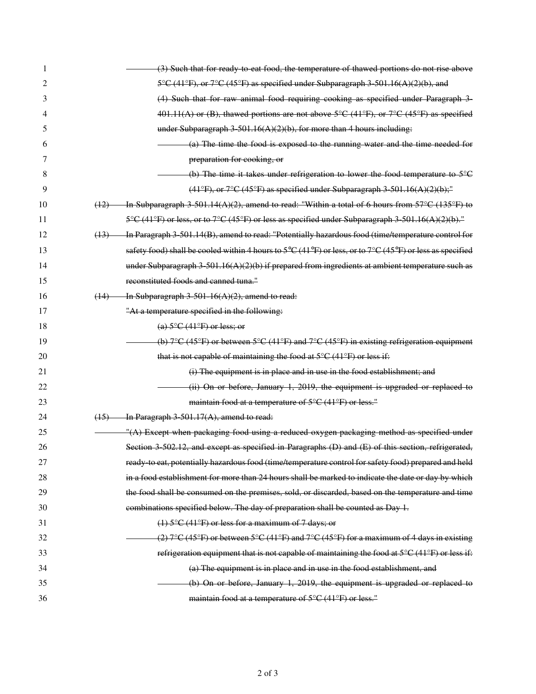| 1  | (3) Such that for ready to eat food, the temperature of thawed portions do not rise above                             |
|----|-----------------------------------------------------------------------------------------------------------------------|
| 2  | 5°C (41°F), or 7°C (45°F) as specified under Subparagraph 3 501.16(A)(2)(b), and                                      |
| 3  | (4) Such that for raw animal food requiring cooking as specified under Paragraph 3-                                   |
| 4  | $401.11(A)$ or (B), thawed portions are not above $5^{\circ}C$ (41°F), or $7^{\circ}C$ (45°F) as specified            |
| 5  | under Subparagraph 3 501.16(A)(2)(b), for more than 4 hours including:                                                |
| 6  | (a) The time the food is exposed to the running water and the time needed for                                         |
| 7  | preparation for cooking, or                                                                                           |
| 8  | (b) The time it takes under refrigeration to lower the food temperature to $5^{\circ}$ C                              |
| 9  | $(41°F)$ , or $7°C$ (45°F) as specified under Subparagraph 3 501.16(A)(2)(b);"                                        |
| 10 | In Subparagraph 3 501.14(A)(2), amend to read: "Within a total of 6 hours from $57^{\circ}$ C (135°F) to<br>(12)      |
| 11 | 5°C (41°F) or less, or to 7°C (45°F) or less as specified under Subparagraph 3 501.16(A)(2)(b)."                      |
| 12 | In Paragraph 3 501.14(B), amend to read: "Potentially hazardous food (time/temperature control for<br>(13)            |
| 13 | safety food) shall be cooled within 4 hours to 5°C (41°F) or less, or to 7°C (45°F) or less as specified              |
| 14 | under Subparagraph $3\cdot 501.16(A)(2)(b)$ if prepared from ingredients at ambient temperature such as               |
| 15 | reconstituted foods and canned tuna."                                                                                 |
| 16 | In Subparagraph $3\,501\,16(A)(2)$ , amend to read:<br>(14)                                                           |
| 17 | "At a temperature specified in the following:                                                                         |
| 18 | (a) $5^{\circ}$ C (41 $^{\circ}$ F) or less; or                                                                       |
| 19 | (b) $7^{\circ}$ C (45°F) or between $5^{\circ}$ C (41°F) and $7^{\circ}$ C (45°F) in existing refrigeration equipment |
| 20 | that is not capable of maintaining the food at $5^{\circ}C(41^{\circ}F)$ or less if:                                  |
| 21 | (i) The equipment is in place and in use in the food establishment; and                                               |
| 22 | (ii) On or before, January 1, 2019, the equipment is upgraded or replaced to                                          |
| 23 | maintain food at a temperature of $5^{\circ}C$ (41°F) or less."                                                       |
| 24 | In Paragraph $3\,501.17(A)$ , amend to read:<br>(15)                                                                  |
| 25 | "(A) Except when packaging food using a reduced oxygen packaging method as specified under                            |
| 26 | Section 3 502.12, and except as specified in Paragraphs (D) and (E) of this section, refrigerated,                    |
| 27 | ready to eat, potentially hazardous food (time/temperature control for safety food) prepared and held                 |
| 28 | in a food establishment for more than 24 hours shall be marked to indicate the date or day by which                   |
| 29 | the food shall be consumed on the premises, sold, or discarded, based on the temperature and time                     |
| 30 | combinations specified below. The day of preparation shall be counted as Day 1.                                       |
| 31 | $(1)$ 5°C (41°F) or less for a maximum of 7 days; or                                                                  |
| 32 | (2) $7^{\circ}$ C (45°F) or between 5°C (41°F) and 7°C (45°F) for a maximum of 4 days in existing                     |
| 33 | refrigeration equipment that is not capable of maintaining the food at $5^{\circ}C(41^{\circ}F)$ or less if:          |
| 34 | (a) The equipment is in place and in use in the food establishment, and                                               |
| 35 |                                                                                                                       |
|    | $(b)$ On or before, January 1, 2019, the equipment is upgraded or replaced to                                         |